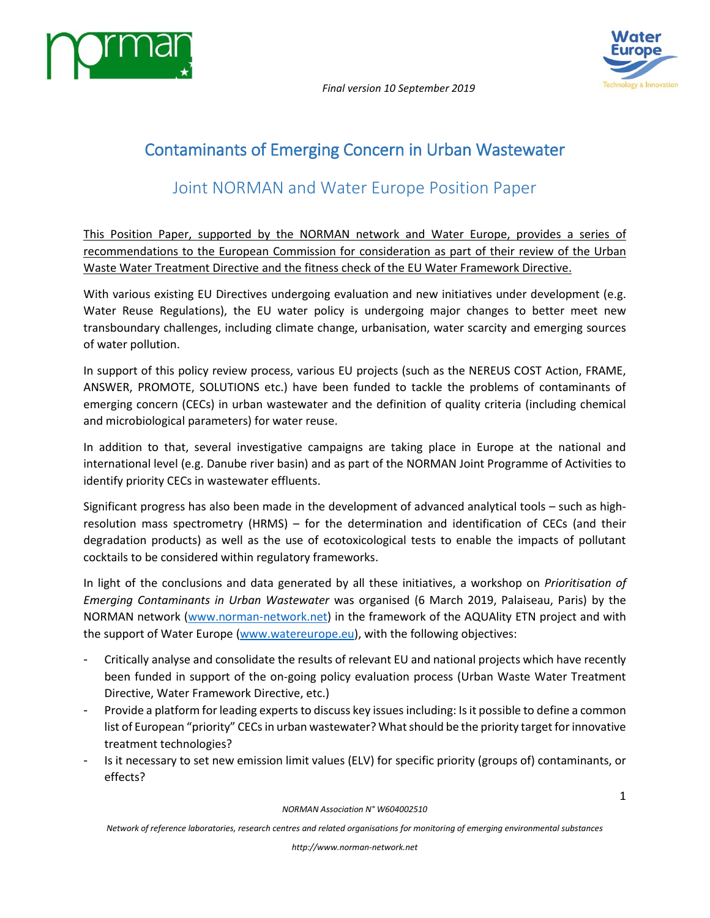



# Contaminants of Emerging Concern in Urban Wastewater

# Joint NORMAN and Water Europe Position Paper

This Position Paper, supported by the NORMAN network and Water Europe, provides a series of recommendations to the European Commission for consideration as part of their review of the Urban Waste Water Treatment Directive and the fitness check of the EU Water Framework Directive.

With various existing EU Directives undergoing evaluation and new initiatives under development (e.g. Water Reuse Regulations), the EU water policy is undergoing major changes to better meet new transboundary challenges, including climate change, urbanisation, water scarcity and emerging sources of water pollution.

In support of this policy review process, various EU projects (such as the NEREUS COST Action, FRAME, ANSWER, PROMOTE, SOLUTIONS etc.) have been funded to tackle the problems of contaminants of emerging concern (CECs) in urban wastewater and the definition of quality criteria (including chemical and microbiological parameters) for water reuse.

In addition to that, several investigative campaigns are taking place in Europe at the national and international level (e.g. Danube river basin) and as part of the NORMAN Joint Programme of Activities to identify priority CECs in wastewater effluents.

Significant progress has also been made in the development of advanced analytical tools – such as highresolution mass spectrometry (HRMS) – for the determination and identification of CECs (and their degradation products) as well as the use of ecotoxicological tests to enable the impacts of pollutant cocktails to be considered within regulatory frameworks.

In light of the conclusions and data generated by all these initiatives, a workshop on *Prioritisation of Emerging Contaminants in Urban Wastewater* was organised (6 March 2019, Palaiseau, Paris) by the NORMAN network [\(www.norman-network.net\)](http://www.norman-network.net/) in the framework of the AQUAlity ETN project and with the support of Water Europe [\(www.watereurope.eu\)](http://www.watereurope.eu/), with the following objectives:

- Critically analyse and consolidate the results of relevant EU and national projects which have recently been funded in support of the on-going policy evaluation process (Urban Waste Water Treatment Directive, Water Framework Directive, etc.)
- Provide a platform for leading experts to discuss key issues including: Is it possible to define a common list of European "priority" CECs in urban wastewater? What should be the priority target for innovative treatment technologies?
- Is it necessary to set new emission limit values (ELV) for specific priority (groups of) contaminants, or effects?

#### *NORMAN Association N° W604002510*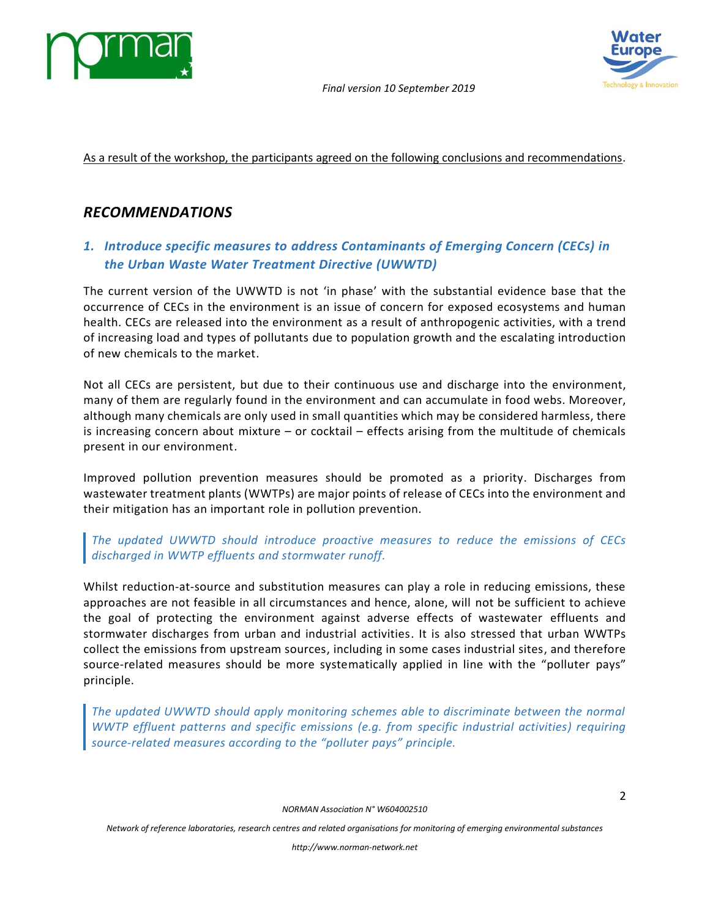



As a result of the workshop, the participants agreed on the following conclusions and recommendations.

## *RECOMMENDATIONS*

### *1. Introduce specific measures to address Contaminants of Emerging Concern (CECs) in the Urban Waste Water Treatment Directive (UWWTD)*

The current version of the UWWTD is not 'in phase' with the substantial evidence base that the occurrence of CECs in the environment is an issue of concern for exposed ecosystems and human health. CECs are released into the environment as a result of anthropogenic activities, with a trend of increasing load and types of pollutants due to population growth and the escalating introduction of new chemicals to the market.

Not all CECs are persistent, but due to their continuous use and discharge into the environment, many of them are regularly found in the environment and can accumulate in food webs. Moreover, although many chemicals are only used in small quantities which may be considered harmless, there is increasing concern about mixture – or cocktail – effects arising from the multitude of chemicals present in our environment.

Improved pollution prevention measures should be promoted as a priority. Discharges from wastewater treatment plants (WWTPs) are major points of release of CECs into the environment and their mitigation has an important role in pollution prevention.

### *The updated UWWTD should introduce proactive measures to reduce the emissions of CECs discharged in WWTP effluents and stormwater runoff.*

Whilst reduction-at-source and substitution measures can play a role in reducing emissions, these approaches are not feasible in all circumstances and hence, alone, will not be sufficient to achieve the goal of protecting the environment against adverse effects of wastewater effluents and stormwater discharges from urban and industrial activities. It is also stressed that urban WWTPs collect the emissions from upstream sources, including in some cases industrial sites, and therefore source-related measures should be more systematically applied in line with the "polluter pays" principle.

*The updated UWWTD should apply monitoring schemes able to discriminate between the normal WWTP effluent patterns and specific emissions (e.g. from specific industrial activities) requiring source-related measures according to the "polluter pays" principle.*

*NORMAN Association N° W604002510*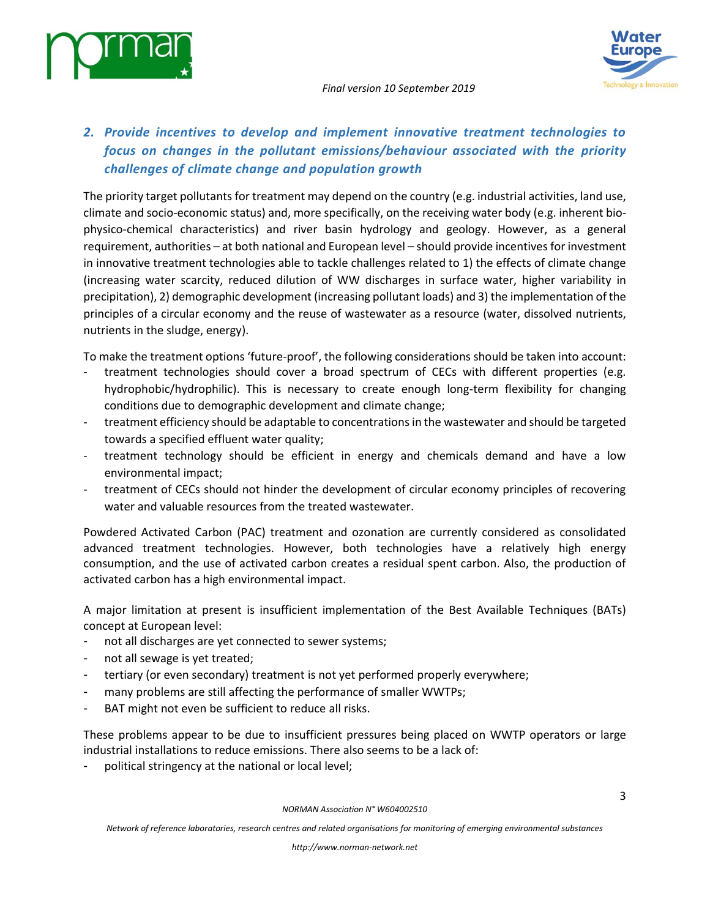



## *2. Provide incentives to develop and implement innovative treatment technologies to focus on changes in the pollutant emissions/behaviour associated with the priority challenges of climate change and population growth*

The priority target pollutants for treatment may depend on the country (e.g. industrial activities, land use, climate and socio-economic status) and, more specifically, on the receiving water body (e.g. inherent biophysico-chemical characteristics) and river basin hydrology and geology. However, as a general requirement, authorities – at both national and European level – should provide incentives for investment in innovative treatment technologies able to tackle challenges related to 1) the effects of climate change (increasing water scarcity, reduced dilution of WW discharges in surface water, higher variability in precipitation), 2) demographic development (increasing pollutant loads) and 3) the implementation of the principles of a circular economy and the reuse of wastewater as a resource (water, dissolved nutrients, nutrients in the sludge, energy).

To make the treatment options 'future-proof', the following considerations should be taken into account:

- treatment technologies should cover a broad spectrum of CECs with different properties (e.g. hydrophobic/hydrophilic). This is necessary to create enough long-term flexibility for changing conditions due to demographic development and climate change;
- treatment efficiency should be adaptable to concentrations in the wastewater and should be targeted towards a specified effluent water quality;
- treatment technology should be efficient in energy and chemicals demand and have a low environmental impact;
- treatment of CECs should not hinder the development of circular economy principles of recovering water and valuable resources from the treated wastewater.

Powdered Activated Carbon (PAC) treatment and ozonation are currently considered as consolidated advanced treatment technologies. However, both technologies have a relatively high energy consumption, and the use of activated carbon creates a residual spent carbon. Also, the production of activated carbon has a high environmental impact.

A major limitation at present is insufficient implementation of the Best Available Techniques (BATs) concept at European level:

- not all discharges are yet connected to sewer systems;
- not all sewage is yet treated;
- tertiary (or even secondary) treatment is not yet performed properly everywhere;
- many problems are still affecting the performance of smaller WWTPs;
- BAT might not even be sufficient to reduce all risks.

These problems appear to be due to insufficient pressures being placed on WWTP operators or large industrial installations to reduce emissions. There also seems to be a lack of:

political stringency at the national or local level;

*NORMAN Association N° W604002510*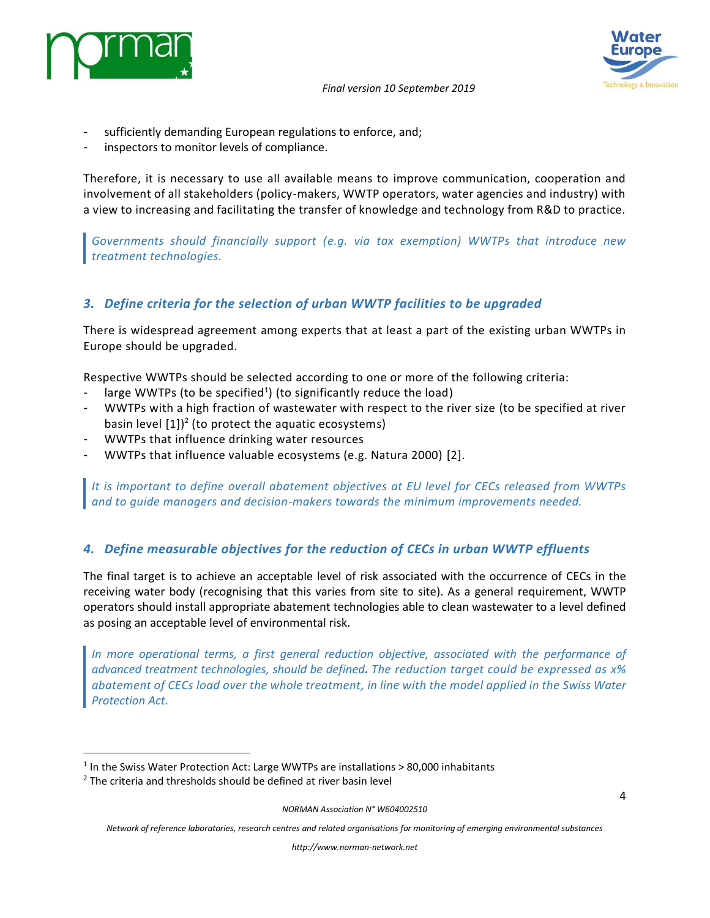



- sufficiently demanding European regulations to enforce, and;
- inspectors to monitor levels of compliance.

Therefore, it is necessary to use all available means to improve communication, cooperation and involvement of all stakeholders (policy-makers, WWTP operators, water agencies and industry) with a view to increasing and facilitating the transfer of knowledge and technology from R&D to practice.

*Governments should financially support (e.g. via tax exemption) WWTPs that introduce new treatment technologies.*

### *3. Define criteria for the selection of urban WWTP facilities to be upgraded*

There is widespread agreement among experts that at least a part of the existing urban WWTPs in Europe should be upgraded.

Respective WWTPs should be selected according to one or more of the following criteria:

- large WWTPs (to be specified<sup>1</sup>) (to significantly reduce the load)
- WWTPs with a high fraction of wastewater with respect to the river size (to be specified at river basin level  $[1]$ <sup>2</sup> (to protect the aquatic ecosystems)
- WWTPs that influence drinking water resources
- WWTPs that influence valuable ecosystems (e.g. Natura 2000) [2].

*It is important to define overall abatement objectives at EU level for CECs released from WWTPs and to guide managers and decision-makers towards the minimum improvements needed.*

### *4. Define measurable objectives for the reduction of CECs in urban WWTP effluents*

The final target is to achieve an acceptable level of risk associated with the occurrence of CECs in the receiving water body (recognising that this varies from site to site). As a general requirement, WWTP operators should install appropriate abatement technologies able to clean wastewater to a level defined as posing an acceptable level of environmental risk.

*In more operational terms, a first general reduction objective, associated with the performance of advanced treatment technologies, should be defined. The reduction target could be expressed as x% abatement of CECs load over the whole treatment, in line with the model applied in the Swiss Water Protection Act.*

 $\overline{\phantom{a}}$ 

 $<sup>1</sup>$  In the Swiss Water Protection Act: Large WWTPs are installations > 80,000 inhabitants</sup>

 $2$  The criteria and thresholds should be defined at river basin level

*Network of reference laboratories, research centres and related organisations for monitoring of emerging environmental substances*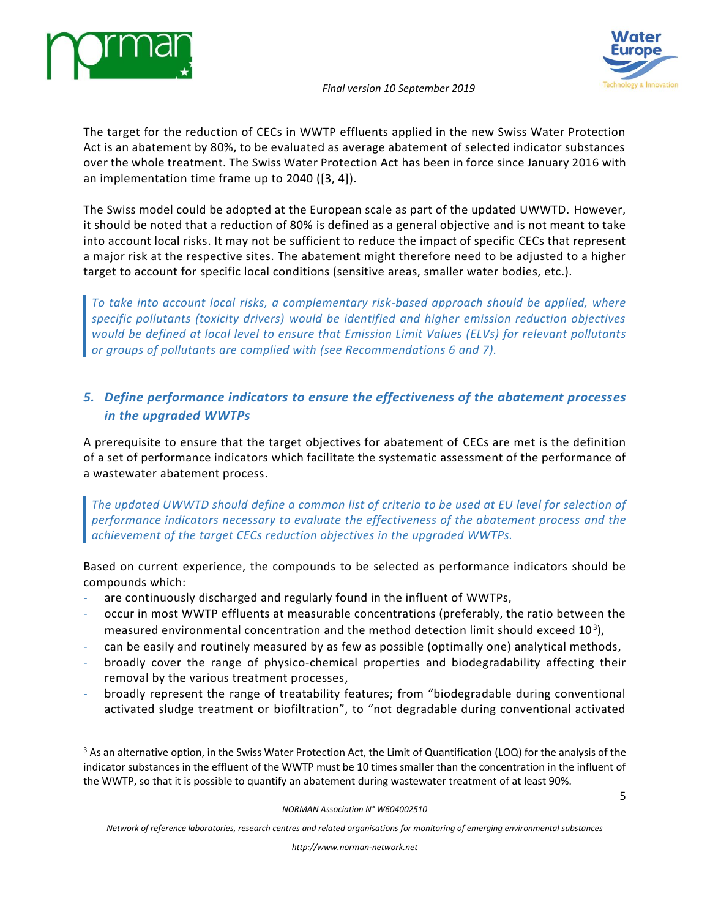

 $\overline{a}$ 



The target for the reduction of CECs in WWTP effluents applied in the new Swiss Water Protection Act is an abatement by 80%, to be evaluated as average abatement of selected indicator substances over the whole treatment. The Swiss Water Protection Act has been in force since January 2016 with an implementation time frame up to 2040 ([3, 4]).

The Swiss model could be adopted at the European scale as part of the updated UWWTD. However, it should be noted that a reduction of 80% is defined as a general objective and is not meant to take into account local risks. It may not be sufficient to reduce the impact of specific CECs that represent a major risk at the respective sites. The abatement might therefore need to be adjusted to a higher target to account for specific local conditions (sensitive areas, smaller water bodies, etc.).

*To take into account local risks, a complementary risk-based approach should be applied, where specific pollutants (toxicity drivers) would be identified and higher emission reduction objectives would be defined at local level to ensure that Emission Limit Values (ELVs) for relevant pollutants or groups of pollutants are complied with (see Recommendations 6 and 7).* 

## *5. Define performance indicators to ensure the effectiveness of the abatement processes in the upgraded WWTPs*

A prerequisite to ensure that the target objectives for abatement of CECs are met is the definition of a set of performance indicators which facilitate the systematic assessment of the performance of a wastewater abatement process.

*The updated UWWTD should define a common list of criteria to be used at EU level for selection of performance indicators necessary to evaluate the effectiveness of the abatement process and the achievement of the target CECs reduction objectives in the upgraded WWTPs.*

Based on current experience, the compounds to be selected as performance indicators should be compounds which:

- are continuously discharged and regularly found in the influent of WWTPs,
- occur in most WWTP effluents at measurable concentrations (preferably, the ratio between the measured environmental concentration and the method detection limit should exceed  $10^3$ ),
- can be easily and routinely measured by as few as possible (optimally one) analytical methods,
- broadly cover the range of physico-chemical properties and biodegradability affecting their removal by the various treatment processes,
- broadly represent the range of treatability features; from "biodegradable during conventional activated sludge treatment or biofiltration", to "not degradable during conventional activated

<sup>&</sup>lt;sup>3</sup> As an alternative option, in the Swiss Water Protection Act, the Limit of Quantification (LOQ) for the analysis of the indicator substances in the effluent of the WWTP must be 10 times smaller than the concentration in the influent of the WWTP, so that it is possible to quantify an abatement during wastewater treatment of at least 90%.

*Network of reference laboratories, research centres and related organisations for monitoring of emerging environmental substances*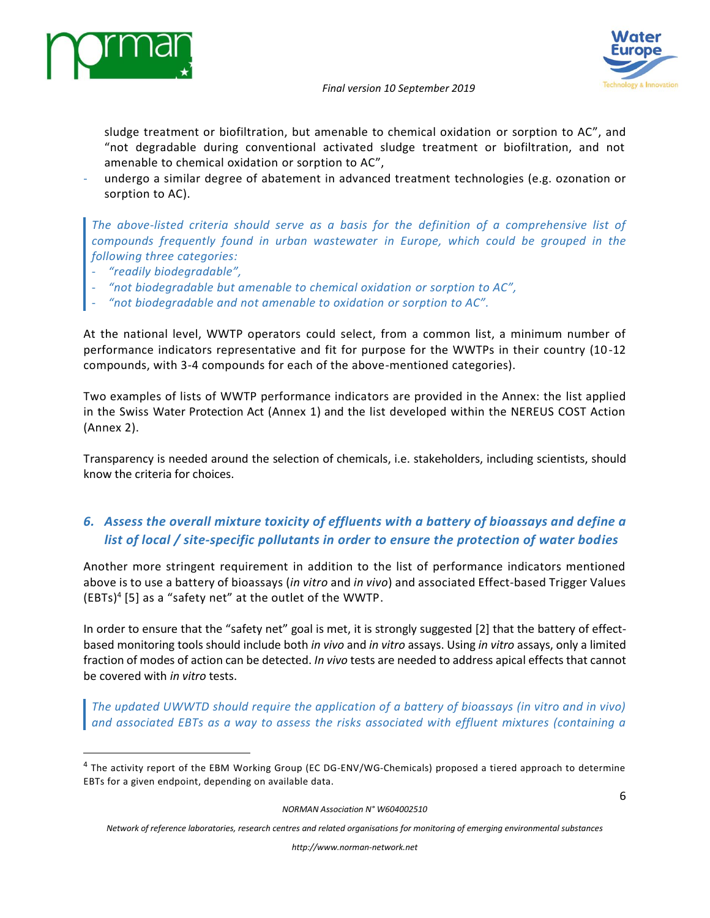

 $\overline{\phantom{a}}$ 





6

sludge treatment or biofiltration, but amenable to chemical oxidation or sorption to AC", and "not degradable during conventional activated sludge treatment or biofiltration, and not amenable to chemical oxidation or sorption to AC",

undergo a similar degree of abatement in advanced treatment technologies (e.g. ozonation or sorption to AC).

*The above-listed criteria should serve as a basis for the definition of a comprehensive list of compounds frequently found in urban wastewater in Europe, which could be grouped in the following three categories:*

- *"readily biodegradable",*
- *"not biodegradable but amenable to chemical oxidation or sorption to AC",*
- *"not biodegradable and not amenable to oxidation or sorption to AC".*

At the national level, WWTP operators could select, from a common list, a minimum number of performance indicators representative and fit for purpose for the WWTPs in their country (10-12 compounds, with 3-4 compounds for each of the above-mentioned categories).

Two examples of lists of WWTP performance indicators are provided in the Annex: the list applied in the Swiss Water Protection Act (Annex 1) and the list developed within the NEREUS COST Action (Annex 2).

Transparency is needed around the selection of chemicals, i.e. stakeholders, including scientists, should know the criteria for choices.

## *6. Assess the overall mixture toxicity of effluents with a battery of bioassays and define a list of local / site-specific pollutants in order to ensure the protection of water bodies*

Another more stringent requirement in addition to the list of performance indicators mentioned above is to use a battery of bioassays (*in vitro* and *in vivo*) and associated Effect-based Trigger Values (EBTs) 4 [5] as a "safety net" at the outlet of the WWTP.

In order to ensure that the "safety net" goal is met, it is strongly suggested [2] that the battery of effectbased monitoring tools should include both *in vivo* and *in vitro* assays. Using *in vitro* assays, only a limited fraction of modes of action can be detected. *In vivo* tests are needed to address apical effects that cannot be covered with *in vitro* tests.

*The updated UWWTD should require the application of a battery of bioassays (in vitro and in vivo) and associated EBTs as a way to assess the risks associated with effluent mixtures (containing a* 

<sup>&</sup>lt;sup>4</sup> The activity report of the EBM Working Group (EC DG-ENV/WG-Chemicals) proposed a tiered approach to determine EBTs for a given endpoint, depending on available data.

*Network of reference laboratories, research centres and related organisations for monitoring of emerging environmental substances*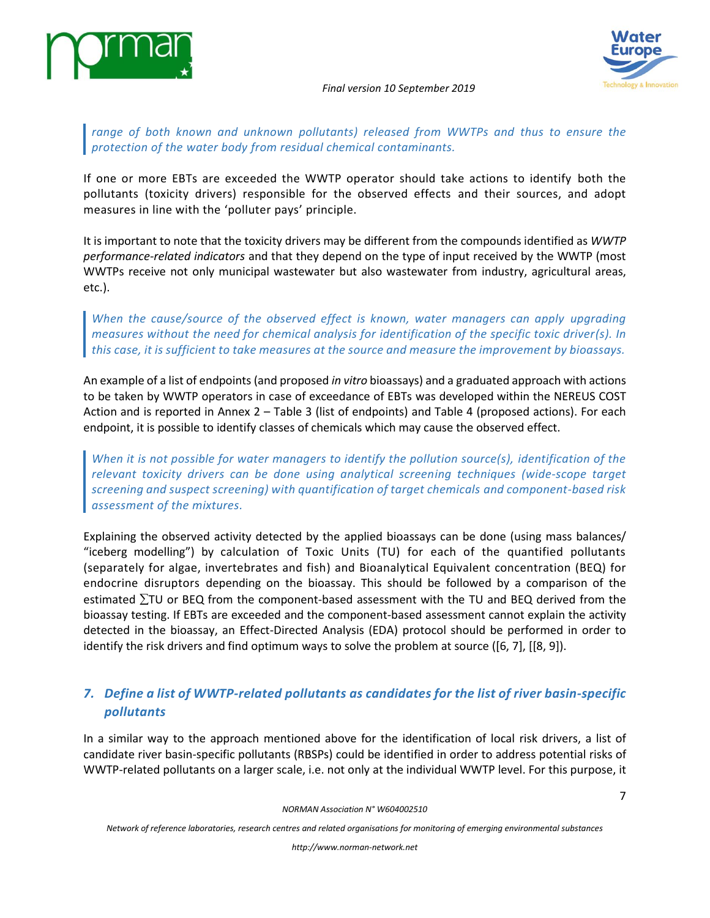

*range of both known and unknown pollutants) released from WWTPs and thus to ensure the protection of the water body from residual chemical contaminants.*

If one or more EBTs are exceeded the WWTP operator should take actions to identify both the pollutants (toxicity drivers) responsible for the observed effects and their sources, and adopt measures in line with the 'polluter pays' principle.

It is important to note that the toxicity drivers may be different from the compounds identified as *WWTP performance-related indicators* and that they depend on the type of input received by the WWTP (most WWTPs receive not only municipal wastewater but also wastewater from industry, agricultural areas, etc.).

*When the cause/source of the observed effect is known, water managers can apply upgrading measures without the need for chemical analysis for identification of the specific toxic driver(s). In this case, it is sufficient to take measures at the source and measure the improvement by bioassays.*

An example of a list of endpoints (and proposed *in vitro* bioassays) and a graduated approach with actions to be taken by WWTP operators in case of exceedance of EBTs was developed within the NEREUS COST Action and is reported in Annex 2 – Table 3 (list of endpoints) and Table 4 (proposed actions). For each endpoint, it is possible to identify classes of chemicals which may cause the observed effect.

*When it is not possible for water managers to identify the pollution source(s), identification of the relevant toxicity drivers can be done using analytical screening techniques (wide-scope target screening and suspect screening) with quantification of target chemicals and component-based risk assessment of the mixtures.*

Explaining the observed activity detected by the applied bioassays can be done (using mass balances/ "iceberg modelling") by calculation of Toxic Units (TU) for each of the quantified pollutants (separately for algae, invertebrates and fish) and Bioanalytical Equivalent concentration (BEQ) for endocrine disruptors depending on the bioassay. This should be followed by a comparison of the estimated  $\Sigma$ TU or BEQ from the component-based assessment with the TU and BEQ derived from the bioassay testing. If EBTs are exceeded and the component-based assessment cannot explain the activity detected in the bioassay, an Effect-Directed Analysis (EDA) protocol should be performed in order to identify the risk drivers and find optimum ways to solve the problem at source ([6, 7], [[8, 9]).

## *7. Define a list of WWTP-related pollutants as candidates for the list of river basin-specific pollutants*

In a similar way to the approach mentioned above for the identification of local risk drivers, a list of candidate river basin-specific pollutants (RBSPs) could be identified in order to address potential risks of WWTP-related pollutants on a larger scale, i.e. not only at the individual WWTP level. For this purpose, it

*NORMAN Association N° W604002510*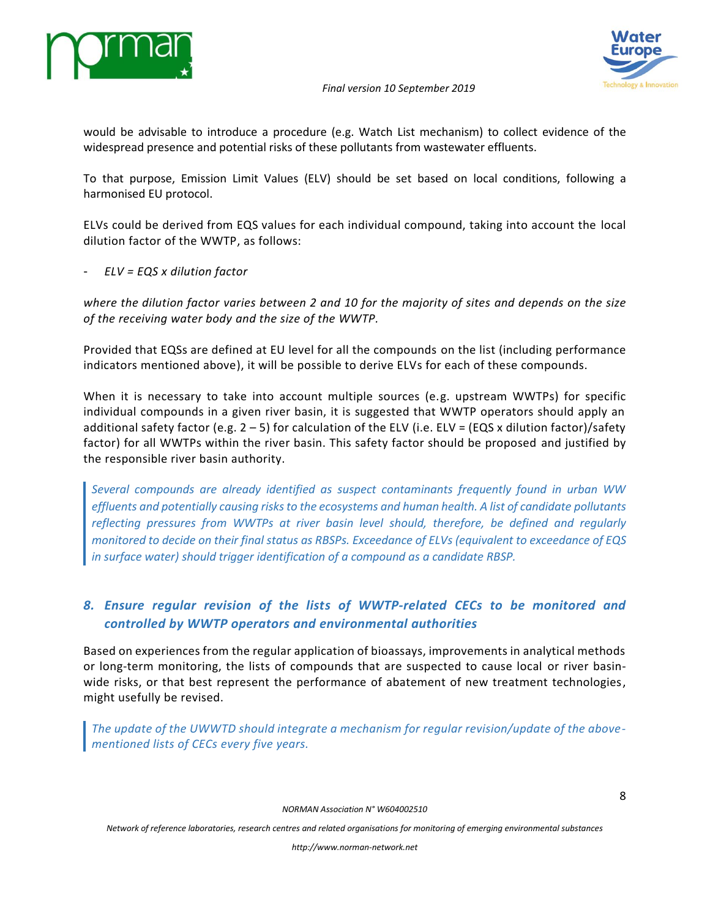



would be advisable to introduce a procedure (e.g. Watch List mechanism) to collect evidence of the widespread presence and potential risks of these pollutants from wastewater effluents.

To that purpose, Emission Limit Values (ELV) should be set based on local conditions, following a harmonised EU protocol.

ELVs could be derived from EQS values for each individual compound, taking into account the local dilution factor of the WWTP, as follows:

- *ELV = EQS x dilution factor* 

*where the dilution factor varies between 2 and 10 for the majority of sites and depends on the size of the receiving water body and the size of the WWTP.* 

Provided that EQSs are defined at EU level for all the compounds on the list (including performance indicators mentioned above), it will be possible to derive ELVs for each of these compounds.

When it is necessary to take into account multiple sources (e.g. upstream WWTPs) for specific individual compounds in a given river basin, it is suggested that WWTP operators should apply an additional safety factor (e.g.  $2 - 5$ ) for calculation of the ELV (i.e. ELV = (EQS x dilution factor)/safety factor) for all WWTPs within the river basin. This safety factor should be proposed and justified by the responsible river basin authority.

*Several compounds are already identified as suspect contaminants frequently found in urban WW effluents and potentially causing risks to the ecosystems and human health. A list of candidate pollutants reflecting pressures from WWTPs at river basin level should, therefore, be defined and regularly monitored to decide on their final status as RBSPs. Exceedance of ELVs (equivalent to exceedance of EQS in surface water) should trigger identification of a compound as a candidate RBSP.*

### *8. Ensure regular revision of the lists of WWTP-related CECs to be monitored and controlled by WWTP operators and environmental authorities*

Based on experiences from the regular application of bioassays, improvements in analytical methods or long-term monitoring, the lists of compounds that are suspected to cause local or river basinwide risks, or that best represent the performance of abatement of new treatment technologies, might usefully be revised.

*The update of the UWWTD should integrate a mechanism for regular revision/update of the abovementioned lists of CECs every five years.*

*NORMAN Association N° W604002510*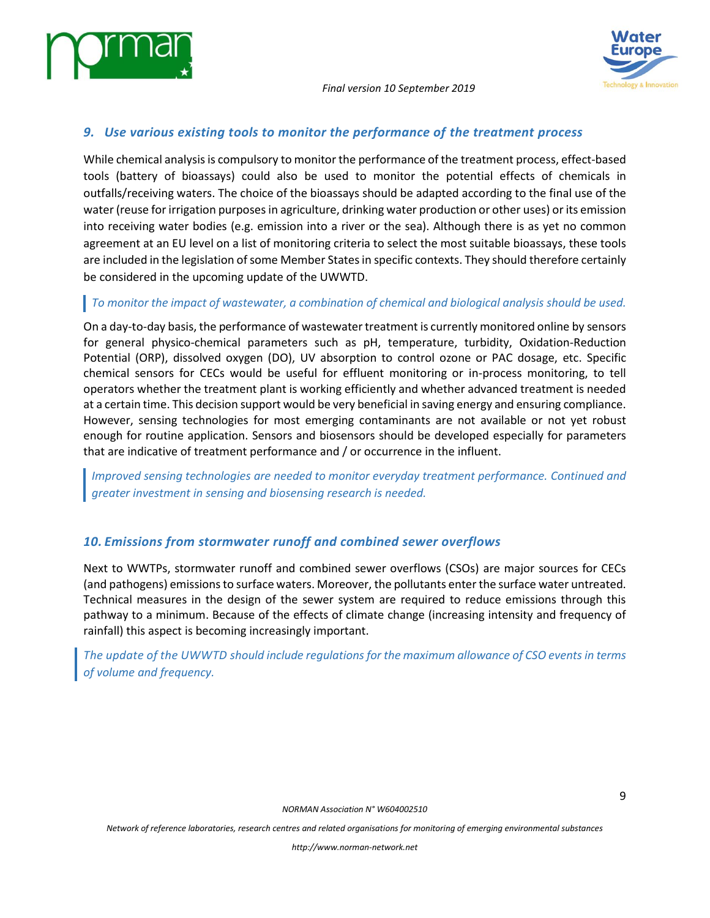



### *9. Use various existing tools to monitor the performance of the treatment process*

While chemical analysis is compulsory to monitor the performance of the treatment process, effect-based tools (battery of bioassays) could also be used to monitor the potential effects of chemicals in outfalls/receiving waters. The choice of the bioassays should be adapted according to the final use of the water (reuse for irrigation purposes in agriculture, drinking water production or other uses) or its emission into receiving water bodies (e.g. emission into a river or the sea). Although there is as yet no common agreement at an EU level on a list of monitoring criteria to select the most suitable bioassays, these tools are included in the legislation of some Member States in specific contexts. They should therefore certainly be considered in the upcoming update of the UWWTD.

### *To monitor the impact of wastewater, a combination of chemical and biological analysis should be used.*

On a day-to-day basis, the performance of wastewater treatment is currently monitored online by sensors for general physico-chemical parameters such as pH, temperature, turbidity, Oxidation-Reduction Potential (ORP), dissolved oxygen (DO), UV absorption to control ozone or PAC dosage, etc. Specific chemical sensors for CECs would be useful for effluent monitoring or in-process monitoring, to tell operators whether the treatment plant is working efficiently and whether advanced treatment is needed at a certain time. This decision support would be very beneficial in saving energy and ensuring compliance. However, sensing technologies for most emerging contaminants are not available or not yet robust enough for routine application. Sensors and biosensors should be developed especially for parameters that are indicative of treatment performance and / or occurrence in the influent.

*Improved sensing technologies are needed to monitor everyday treatment performance. Continued and greater investment in sensing and biosensing research is needed.* 

### *10. Emissions from stormwater runoff and combined sewer overflows*

Next to WWTPs, stormwater runoff and combined sewer overflows (CSOs) are major sources for CECs (and pathogens) emissions to surface waters. Moreover, the pollutants enter the surface water untreated. Technical measures in the design of the sewer system are required to reduce emissions through this pathway to a minimum. Because of the effects of climate change (increasing intensity and frequency of rainfall) this aspect is becoming increasingly important.

*The update of the UWWTD should include regulations for the maximum allowance of CSO events in terms of volume and frequency.*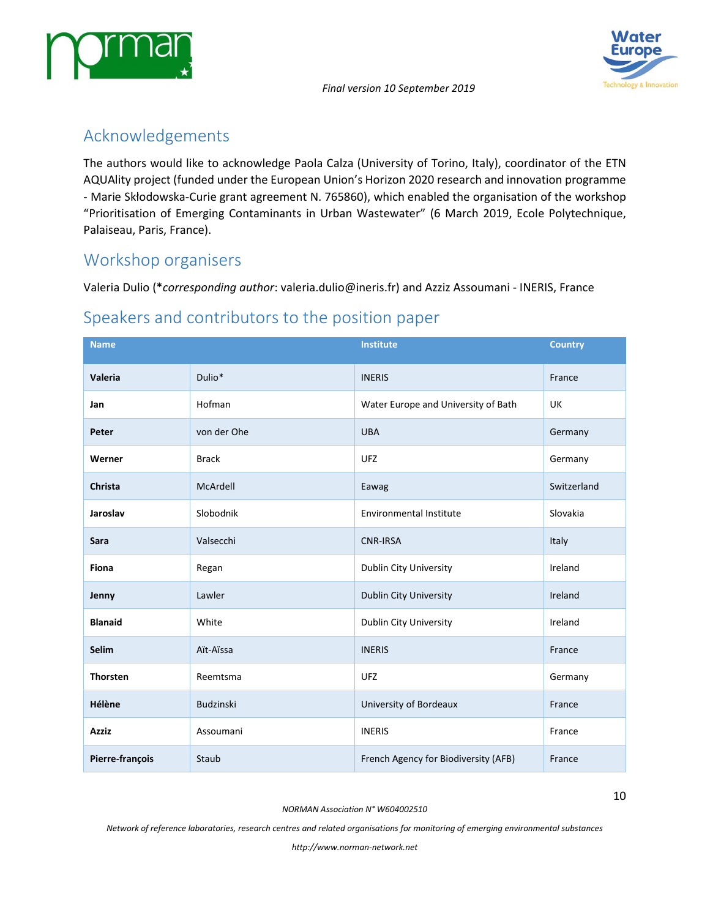



# Acknowledgements

The authors would like to acknowledge Paola Calza (University of Torino, Italy), coordinator of the ETN AQUAlity project (funded under the European Union's Horizon 2020 research and innovation programme - Marie Skłodowska-Curie grant agreement N. 765860), which enabled the organisation of the workshop "Prioritisation of Emerging Contaminants in Urban Wastewater" (6 March 2019, Ecole Polytechnique, Palaiseau, Paris, France).

# Workshop organisers

Valeria Dulio (\**corresponding author*: [valeria.dulio@ineris.fr\)](mailto:valeria.dulio@ineris.fr) and Azziz Assoumani - INERIS, France

| <b>Name</b>     |                  | <b>Institute</b>                     | <b>Country</b> |
|-----------------|------------------|--------------------------------------|----------------|
| Valeria         | Dulio*           | <b>INERIS</b>                        | France         |
| Jan             | Hofman           | Water Europe and University of Bath  | <b>UK</b>      |
| Peter           | von der Ohe      | <b>UBA</b>                           | Germany        |
| Werner          | <b>Brack</b>     | <b>UFZ</b>                           | Germany        |
| <b>Christa</b>  | McArdell         | Eawag                                | Switzerland    |
| Jaroslav        | Slobodnik        | <b>Environmental Institute</b>       | Slovakia       |
| Sara            | Valsecchi        | <b>CNR-IRSA</b>                      | Italy          |
| Fiona           | Regan            | Dublin City University               | Ireland        |
| Jenny           | Lawler           | Dublin City University               | Ireland        |
| <b>Blanaid</b>  | White            | Dublin City University               | Ireland        |
| <b>Selim</b>    | Aït-Aïssa        | <b>INERIS</b>                        | France         |
| <b>Thorsten</b> | Reemtsma         | <b>UFZ</b>                           | Germany        |
| Hélène          | <b>Budzinski</b> | University of Bordeaux               | France         |
| <b>Azziz</b>    | Assoumani        | <b>INERIS</b>                        | France         |
| Pierre-françois | Staub            | French Agency for Biodiversity (AFB) | France         |

# Speakers and contributors to the position paper

*NORMAN Association N° W604002510*

*Network of reference laboratories, research centres and related organisations for monitoring of emerging environmental substances*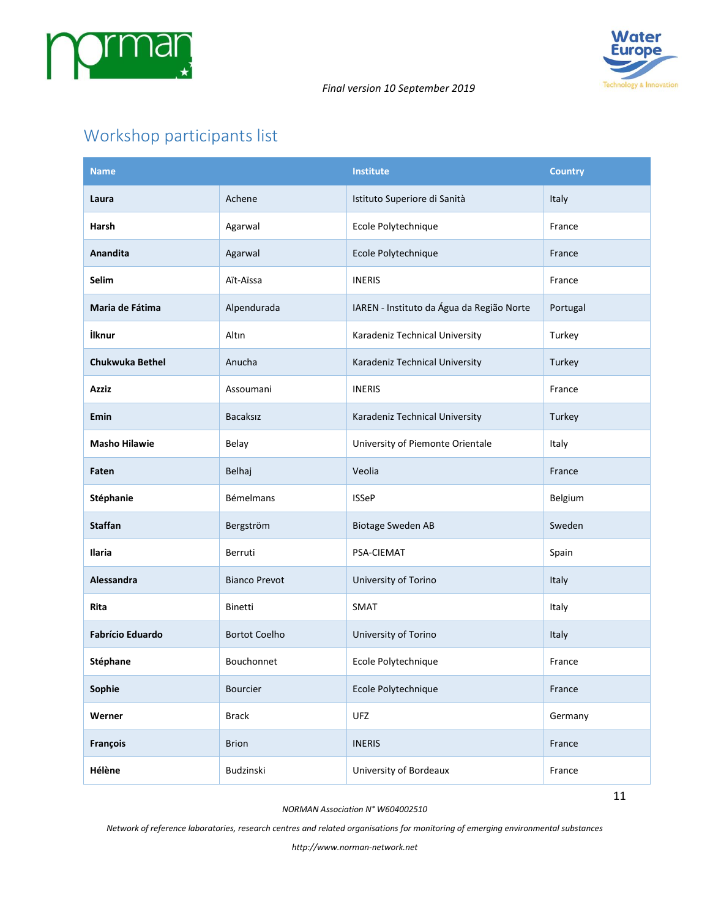



# Workshop participants list

| <b>Name</b>             |                      | Institute                                 | <b>Country</b> |
|-------------------------|----------------------|-------------------------------------------|----------------|
| Laura                   | Achene               | Istituto Superiore di Sanità              | Italy          |
| Harsh                   | Agarwal              | Ecole Polytechnique                       | France         |
| Anandita                | Agarwal              | Ecole Polytechnique                       | France         |
| Selim                   | Aït-Aïssa            | <b>INERIS</b>                             | France         |
| Maria de Fátima         | Alpendurada          | IAREN - Instituto da Água da Região Norte | Portugal       |
| <b>İlknur</b>           | Altın                | Karadeniz Technical University            | Turkey         |
| Chukwuka Bethel         | Anucha               | Karadeniz Technical University            | Turkey         |
| Azziz                   | Assoumani            | <b>INERIS</b>                             | France         |
| Emin                    | <b>Bacaksiz</b>      | Karadeniz Technical University            | Turkey         |
| <b>Masho Hilawie</b>    | Belay                | University of Piemonte Orientale          | Italy          |
| Faten                   | Belhaj               | Veolia                                    | France         |
| Stéphanie               | <b>Bémelmans</b>     | <b>ISSeP</b>                              | Belgium        |
| <b>Staffan</b>          | Bergström            | <b>Biotage Sweden AB</b>                  | Sweden         |
| <b>Ilaria</b>           | Berruti              | PSA-CIEMAT                                | Spain          |
| Alessandra              | <b>Bianco Prevot</b> | University of Torino                      | Italy          |
| Rita                    | Binetti              | SMAT                                      | Italy          |
| <b>Fabrício Eduardo</b> | <b>Bortot Coelho</b> | University of Torino                      | Italy          |
| Stéphane                | Bouchonnet           | Ecole Polytechnique                       | France         |
| Sophie                  | Bourcier             | Ecole Polytechnique                       | France         |
| Werner                  | <b>Brack</b>         | <b>UFZ</b>                                | Germany        |
| François                | <b>Brion</b>         | <b>INERIS</b>                             | France         |
| Hélène                  | Budzinski            | University of Bordeaux                    | France         |

*NORMAN Association N° W604002510*

*Network of reference laboratories, research centres and related organisations for monitoring of emerging environmental substances*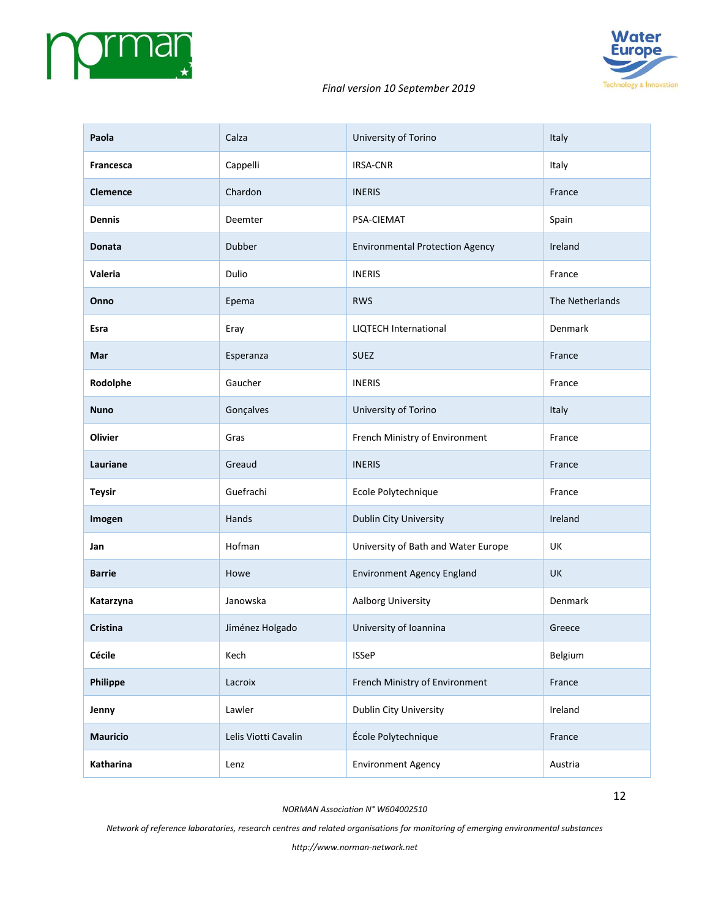



| Paola           | Calza                | University of Torino                   | Italy           |
|-----------------|----------------------|----------------------------------------|-----------------|
| Francesca       | Cappelli             | IRSA-CNR                               | Italy           |
| <b>Clemence</b> | Chardon              | <b>INERIS</b>                          | France          |
| <b>Dennis</b>   | Deemter              | PSA-CIEMAT                             | Spain           |
| Donata          | Dubber               | <b>Environmental Protection Agency</b> | Ireland         |
| Valeria         | Dulio                | <b>INERIS</b>                          | France          |
| Onno            | Epema                | <b>RWS</b>                             | The Netherlands |
| Esra            | Eray                 | LIQTECH International                  | Denmark         |
| Mar             | Esperanza            | <b>SUEZ</b>                            | France          |
| Rodolphe        | Gaucher              | <b>INERIS</b>                          | France          |
| <b>Nuno</b>     | Gonçalves            | University of Torino                   | Italy           |
| <b>Olivier</b>  | Gras                 | French Ministry of Environment         | France          |
| Lauriane        | Greaud               | <b>INERIS</b>                          | France          |
| <b>Teysir</b>   | Guefrachi            | Ecole Polytechnique                    | France          |
| Imogen          | Hands                | Dublin City University                 | Ireland         |
| Jan             | Hofman               | University of Bath and Water Europe    | UK              |
| <b>Barrie</b>   | Howe                 | <b>Environment Agency England</b>      | UK              |
| Katarzyna       | Janowska             | Aalborg University                     | Denmark         |
| <b>Cristina</b> | Jiménez Holgado      | University of Ioannina                 | Greece          |
| Cécile          | Kech                 | <b>ISSeP</b>                           | Belgium         |
| Philippe        | Lacroix              | French Ministry of Environment         | France          |
| Jenny           | Lawler               | Dublin City University                 | Ireland         |
| <b>Mauricio</b> | Lelis Viotti Cavalin | École Polytechnique                    | France          |
| Katharina       | Lenz                 | <b>Environment Agency</b>              | Austria         |

*NORMAN Association N° W604002510*

*Network of reference laboratories, research centres and related organisations for monitoring of emerging environmental substances*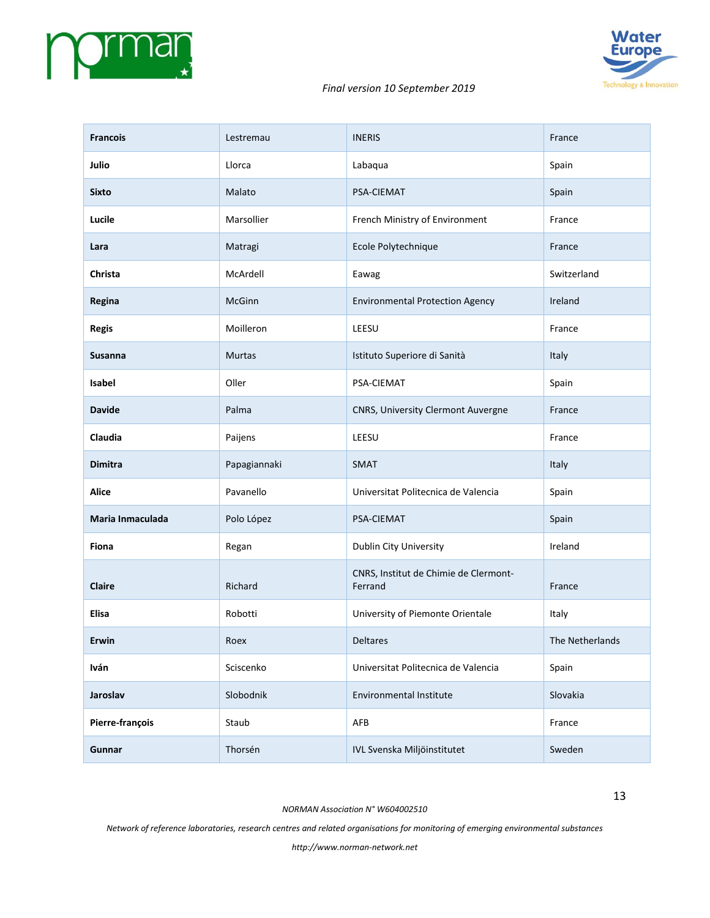



| <b>Francois</b>  | Lestremau     | <b>INERIS</b>                                              | France          |
|------------------|---------------|------------------------------------------------------------|-----------------|
| Julio            | Llorca        | Labaqua                                                    | Spain           |
| <b>Sixto</b>     | Malato        | PSA-CIEMAT                                                 | Spain           |
| Lucile           | Marsollier    | French Ministry of Environment                             | France          |
| Lara             | Matragi       | Ecole Polytechnique                                        | France          |
| Christa          | McArdell      | Eawag                                                      | Switzerland     |
| Regina           | McGinn        | <b>Environmental Protection Agency</b>                     | Ireland         |
| <b>Regis</b>     | Moilleron     | LEESU                                                      | France          |
| <b>Susanna</b>   | <b>Murtas</b> | Istituto Superiore di Sanità                               | Italy           |
| Isabel           | Oller         | PSA-CIEMAT                                                 | Spain           |
| <b>Davide</b>    | Palma         | CNRS, University Clermont Auvergne                         | France          |
| Claudia          | Paijens       | LEESU                                                      | France          |
| <b>Dimitra</b>   | Papagiannaki  | <b>SMAT</b>                                                | Italy           |
| <b>Alice</b>     | Pavanello     | Universitat Politecnica de Valencia                        | Spain           |
| Maria Inmaculada | Polo López    | PSA-CIEMAT                                                 | Spain           |
| Fiona            | Regan         | Dublin City University                                     | Ireland         |
| Claire           | Richard       | CNRS, Institut de Chimie de Clermont-<br>Ferrand<br>France |                 |
| <b>Elisa</b>     | Robotti       | University of Piemonte Orientale                           | Italy           |
| Erwin            | Roex          | <b>Deltares</b>                                            | The Netherlands |
| Iván             | Sciscenko     | Universitat Politecnica de Valencia                        | Spain           |
| Jaroslav         | Slobodnik     | Environmental Institute                                    | Slovakia        |
| Pierre-françois  | Staub         | AFB                                                        | France          |
| Gunnar           | Thorsén       | IVL Svenska Miljöinstitutet                                | Sweden          |

*NORMAN Association N° W604002510*

*Network of reference laboratories, research centres and related organisations for monitoring of emerging environmental substances*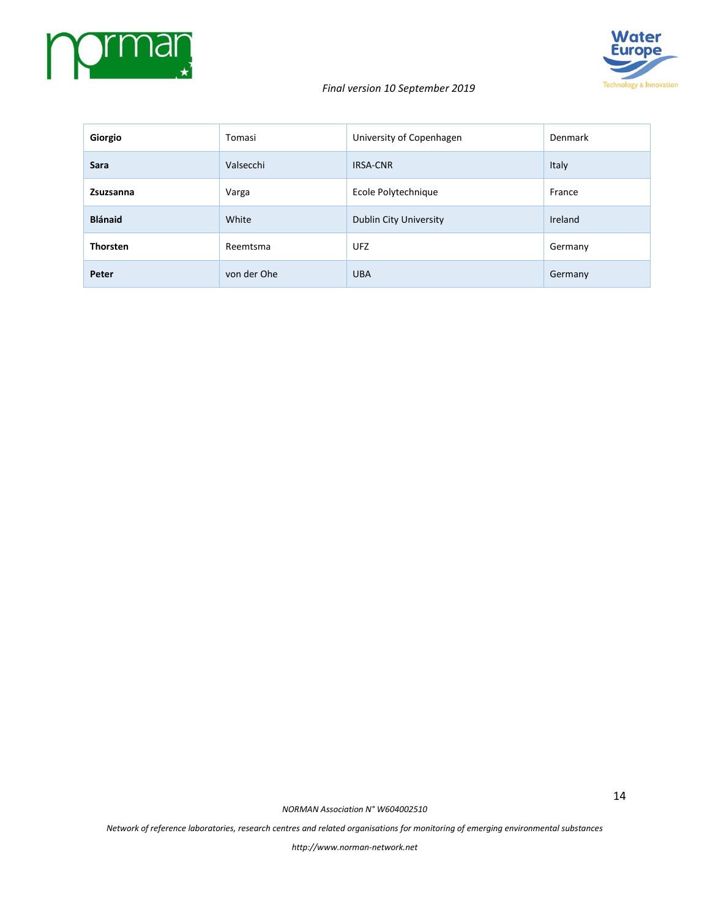



| Giorgio         | Tomasi      | University of Copenhagen | Denmark |
|-----------------|-------------|--------------------------|---------|
| Sara            | Valsecchi   | <b>IRSA-CNR</b>          | Italy   |
| Zsuzsanna       | Varga       | Ecole Polytechnique      | France  |
| <b>Blánaid</b>  | White       | Dublin City University   | Ireland |
| <b>Thorsten</b> | Reemtsma    | <b>UFZ</b>               | Germany |
| Peter           | von der Ohe | <b>UBA</b>               | Germany |

*NORMAN Association N° W604002510*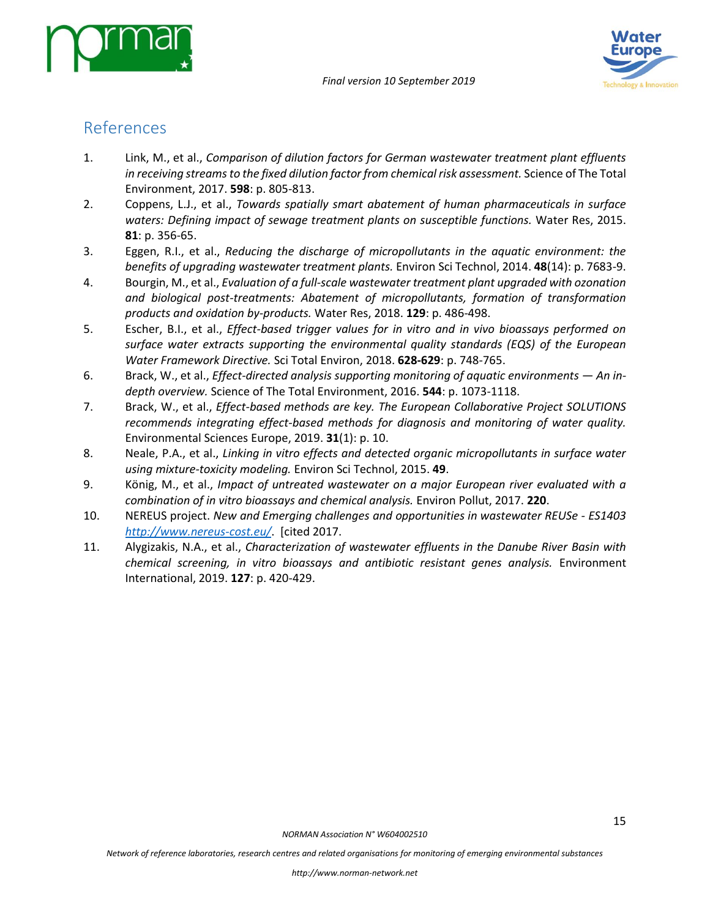



## References

- 1. Link, M., et al., *Comparison of dilution factors for German wastewater treatment plant effluents in receiving streams to the fixed dilution factor from chemical risk assessment.* Science of The Total Environment, 2017. **598**: p. 805-813.
- 2. Coppens, L.J., et al., *Towards spatially smart abatement of human pharmaceuticals in surface waters: Defining impact of sewage treatment plants on susceptible functions.* Water Res, 2015. **81**: p. 356-65.
- 3. Eggen, R.I., et al., *Reducing the discharge of micropollutants in the aquatic environment: the benefits of upgrading wastewater treatment plants.* Environ Sci Technol, 2014. **48**(14): p. 7683-9.
- 4. Bourgin, M., et al., *Evaluation of a full-scale wastewater treatment plant upgraded with ozonation and biological post-treatments: Abatement of micropollutants, formation of transformation products and oxidation by-products.* Water Res, 2018. **129**: p. 486-498.
- 5. Escher, B.I., et al., *Effect-based trigger values for in vitro and in vivo bioassays performed on surface water extracts supporting the environmental quality standards (EQS) of the European Water Framework Directive.* Sci Total Environ, 2018. **628-629**: p. 748-765.
- 6. Brack, W., et al., *Effect-directed analysis supporting monitoring of aquatic environments — An indepth overview.* Science of The Total Environment, 2016. **544**: p. 1073-1118.
- 7. Brack, W., et al., *Effect-based methods are key. The European Collaborative Project SOLUTIONS recommends integrating effect-based methods for diagnosis and monitoring of water quality.* Environmental Sciences Europe, 2019. **31**(1): p. 10.
- 8. Neale, P.A., et al., *Linking in vitro effects and detected organic micropollutants in surface water using mixture-toxicity modeling.* Environ Sci Technol, 2015. **49**.
- 9. König, M., et al., *Impact of untreated wastewater on a major European river evaluated with a combination of in vitro bioassays and chemical analysis.* Environ Pollut, 2017. **220**.
- 10. NEREUS project. *New and Emerging challenges and opportunities in wastewater REUSe - ES1403 <http://www.nereus-cost.eu/>*. [cited 2017.
- 11. Alygizakis, N.A., et al., *Characterization of wastewater effluents in the Danube River Basin with chemical screening, in vitro bioassays and antibiotic resistant genes analysis.* Environment International, 2019. **127**: p. 420-429.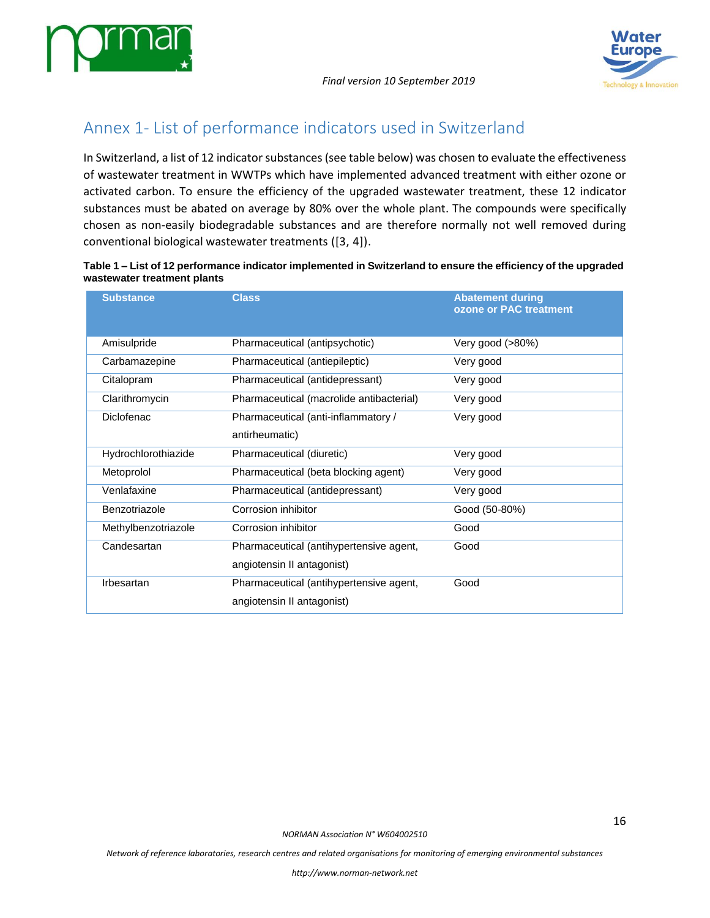



# Annex 1- List of performance indicators used in Switzerland

In Switzerland, a list of 12 indicator substances (see table below) was chosen to evaluate the effectiveness of wastewater treatment in WWTPs which have implemented advanced treatment with either ozone or activated carbon. To ensure the efficiency of the upgraded wastewater treatment, these 12 indicator substances must be abated on average by 80% over the whole plant. The compounds were specifically chosen as non-easily biodegradable substances and are therefore normally not well removed during conventional biological wastewater treatments ([3, 4]).

| Table 1 – List of 12 performance indicator implemented in Switzerland to ensure the efficiency of the upgraded |  |
|----------------------------------------------------------------------------------------------------------------|--|
| wastewater treatment plants                                                                                    |  |

| <b>Substance</b>    | <b>Class</b>                             | <b>Abatement during</b><br>ozone or PAC treatment |
|---------------------|------------------------------------------|---------------------------------------------------|
| Amisulpride         | Pharmaceutical (antipsychotic)           | Very good (>80%)                                  |
| Carbamazepine       | Pharmaceutical (antiepileptic)           | Very good                                         |
| Citalopram          | Pharmaceutical (antidepressant)          | Very good                                         |
| Clarithromycin      | Pharmaceutical (macrolide antibacterial) | Very good                                         |
| Diclofenac          | Pharmaceutical (anti-inflammatory /      | Very good                                         |
|                     | antirheumatic)                           |                                                   |
| Hydrochlorothiazide | Pharmaceutical (diuretic)                | Very good                                         |
| Metoprolol          | Pharmaceutical (beta blocking agent)     | Very good                                         |
| Venlafaxine         | Pharmaceutical (antidepressant)          | Very good                                         |
| Benzotriazole       | Corrosion inhibitor                      | Good (50-80%)                                     |
| Methylbenzotriazole | Corrosion inhibitor                      | Good                                              |
| Candesartan         | Pharmaceutical (antihypertensive agent,  | Good                                              |
|                     | angiotensin II antagonist)               |                                                   |
| Irbesartan          | Pharmaceutical (antihypertensive agent,  | Good                                              |
|                     | angiotensin II antagonist)               |                                                   |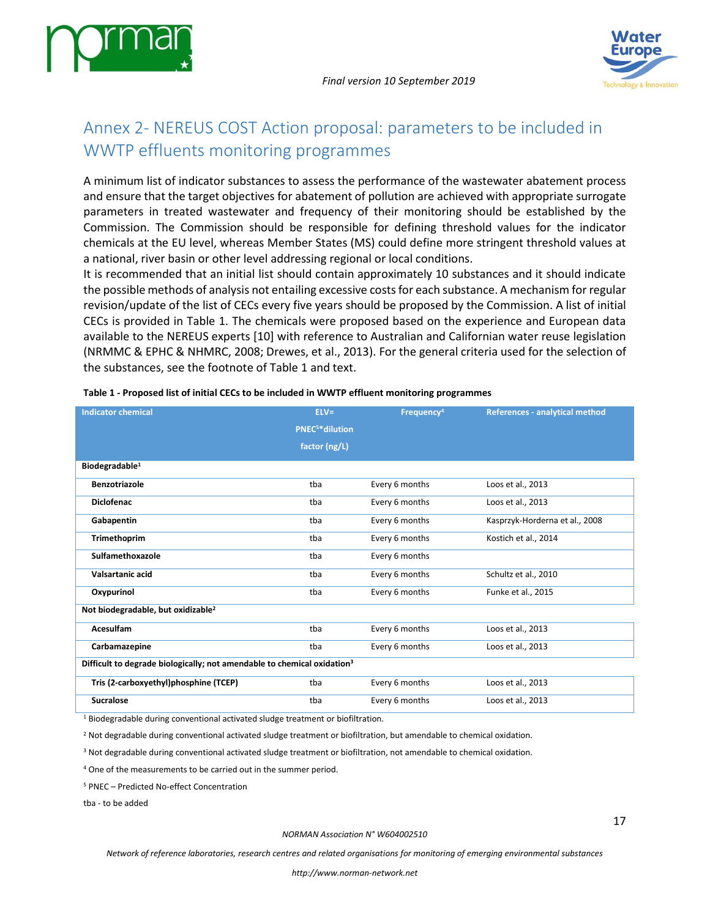



# Annex 2- NEREUS COST Action proposal: parameters to be included in WWTP effluents monitoring programmes

A minimum list of indicator substances to assess the performance of the wastewater abatement process and ensure that the target objectives for abatement of pollution are achieved with appropriate surrogate parameters in treated wastewater and frequency of their monitoring should be established by the Commission. The Commission should be responsible for defining threshold values for the indicator chemicals at the EU level, whereas Member States (MS) could define more stringent threshold values at a national, river basin or other level addressing regional or local conditions.

It is recommended that an initial list should contain approximately 10 substances and it should indicate the possible methods of analysis not entailing excessive costs for each substance. A mechanism for regular revision/update of the list of CECs every five years should be proposed by the Commission. A list of initial CECs is provided in Table 1. The chemicals were proposed based on the experience and European data available to the NEREUS experts [10] with reference to Australian and Californian water reuse legislation (NRMMC & EPHC & NHMRC, 2008; Drewes, et al., 2013). For the general criteria used for the selection of the substances, see the footnote of Table 1 and text.

| <b>Indicator chemical</b>                                                           | $ELV =$                     | Frequency <sup>4</sup> | <b>References - analytical method</b> |
|-------------------------------------------------------------------------------------|-----------------------------|------------------------|---------------------------------------|
|                                                                                     | PNEC <sup>5*</sup> dilution |                        |                                       |
|                                                                                     | factor (ng/L)               |                        |                                       |
| Biodegradable <sup>1</sup>                                                          |                             |                        |                                       |
| Benzotriazole                                                                       | tba                         | Every 6 months         | Loos et al., 2013                     |
| <b>Diclofenac</b>                                                                   | tba                         | Every 6 months         | Loos et al., 2013                     |
| Gabapentin                                                                          | tba                         | Every 6 months         | Kasprzyk-Horderna et al., 2008        |
| Trimethoprim                                                                        | tba                         | Every 6 months         | Kostich et al., 2014                  |
| Sulfamethoxazole                                                                    | tba                         | Every 6 months         |                                       |
| Valsartanic acid                                                                    | tba                         | Every 6 months         | Schultz et al., 2010                  |
| Oxypurinol                                                                          | tba                         | Every 6 months         | Funke et al., 2015                    |
| Not biodegradable, but oxidizable <sup>2</sup>                                      |                             |                        |                                       |
| Acesulfam                                                                           | tba                         | Every 6 months         | Loos et al., 2013                     |
| Carbamazepine                                                                       | tba                         | Every 6 months         | Loos et al., 2013                     |
| Difficult to degrade biologically; not amendable to chemical oxidation <sup>3</sup> |                             |                        |                                       |
| Tris (2-carboxyethyl)phosphine (TCEP)                                               | tba                         | Every 6 months         | Loos et al., 2013                     |
| <b>Sucralose</b>                                                                    | tba                         | Every 6 months         | Loos et al., 2013                     |

**Table 1 - Proposed list of initial CECs to be included in WWTP effluent monitoring programmes**

<sup>1</sup> Biodegradable during conventional activated sludge treatment or biofiltration.

<sup>2</sup> Not degradable during conventional activated sludge treatment or biofiltration, but amendable to chemical oxidation.

<sup>3</sup> Not degradable during conventional activated sludge treatment or biofiltration, not amendable to chemical oxidation.

<sup>4</sup> One of the measurements to be carried out in the summer period.

<sup>5</sup> PNEC – Predicted No-effect Concentration

tba - to be added

#### *NORMAN Association N° W604002510*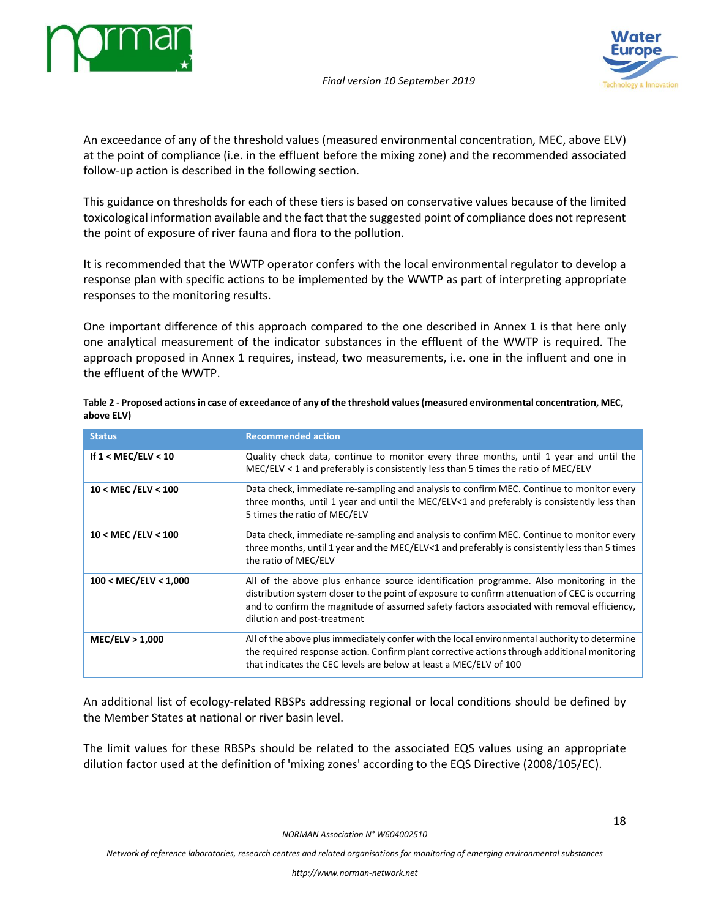



An exceedance of any of the threshold values (measured environmental concentration, MEC, above ELV) at the point of compliance (i.e. in the effluent before the mixing zone) and the recommended associated follow-up action is described in the following section.

This guidance on thresholds for each of these tiers is based on conservative values because of the limited toxicological information available and the fact that the suggested point of compliance does not represent the point of exposure of river fauna and flora to the pollution.

It is recommended that the WWTP operator confers with the local environmental regulator to develop a response plan with specific actions to be implemented by the WWTP as part of interpreting appropriate responses to the monitoring results.

One important difference of this approach compared to the one described in Annex 1 is that here only one analytical measurement of the indicator substances in the effluent of the WWTP is required. The approach proposed in Annex 1 requires, instead, two measurements, i.e. one in the influent and one in the effluent of the WWTP.

| <b>Status</b>           | <b>Recommended action</b>                                                                                                                                                                                                                                                                                            |
|-------------------------|----------------------------------------------------------------------------------------------------------------------------------------------------------------------------------------------------------------------------------------------------------------------------------------------------------------------|
| If $1 <$ MEC/ELV $< 10$ | Quality check data, continue to monitor every three months, until 1 year and until the<br>$MEC/ELV < 1$ and preferably is consistently less than 5 times the ratio of MEC/ELV                                                                                                                                        |
| 10 < MEC /ELV < 100     | Data check, immediate re-sampling and analysis to confirm MEC. Continue to monitor every<br>three months, until 1 year and until the MEC/ELV<1 and preferably is consistently less than<br>5 times the ratio of MEC/ELV                                                                                              |
| 10 < MEC /ELV < 100     | Data check, immediate re-sampling and analysis to confirm MEC. Continue to monitor every<br>three months, until 1 year and the MEC/ELV<1 and preferably is consistently less than 5 times<br>the ratio of MEC/ELV                                                                                                    |
| 100 < MEC/ELV < 1,000   | All of the above plus enhance source identification programme. Also monitoring in the<br>distribution system closer to the point of exposure to confirm attenuation of CEC is occurring<br>and to confirm the magnitude of assumed safety factors associated with removal efficiency,<br>dilution and post-treatment |
| MEC/ELV > 1,000         | All of the above plus immediately confer with the local environmental authority to determine<br>the required response action. Confirm plant corrective actions through additional monitoring<br>that indicates the CEC levels are below at least a MEC/ELV of 100                                                    |

**Table 2 - Proposed actions in case of exceedance of any of the threshold values (measured environmental concentration, MEC, above ELV)**

An additional list of ecology-related RBSPs addressing regional or local conditions should be defined by the Member States at national or river basin level.

The limit values for these RBSPs should be related to the associated EQS values using an appropriate dilution factor used at the definition of 'mixing zones' according to the EQS Directive (2008/105/EC).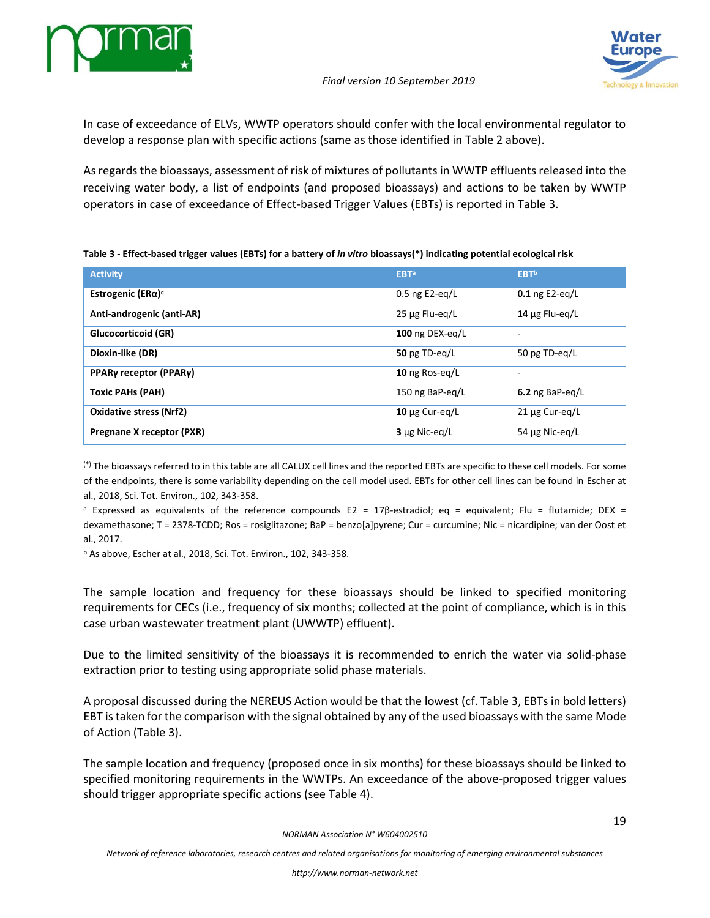



In case of exceedance of ELVs, WWTP operators should confer with the local environmental regulator to develop a response plan with specific actions (same as those identified in Table 2 above).

As regards the bioassays, assessment of risk of mixtures of pollutants in WWTP effluents released into the receiving water body, a list of endpoints (and proposed bioassays) and actions to be taken by WWTP operators in case of exceedance of Effect-based Trigger Values (EBTs) is reported in Table 3.

| Table 3 - Effect-based trigger values (EBTs) for a battery of <i>in vitro</i> bioassays(*) indicating potential ecological risk |  |  |
|---------------------------------------------------------------------------------------------------------------------------------|--|--|
|                                                                                                                                 |  |  |

| <b>Activity</b>                        | <b>EBT<sup>a</sup></b> | <b>EBT</b> <sup>b</sup> |
|----------------------------------------|------------------------|-------------------------|
| Estrogenic (ER $\alpha$ ) <sup>c</sup> | 0.5 ng $E2-eq/L$       | $0.1$ ng E2-eq/L        |
| Anti-androgenic (anti-AR)              | 25 µg Flu-eg/L         | 14 $\mu$ g Flu-eg/L     |
| Glucocorticoid (GR)                    | 100 ng DEX-eq/L        |                         |
| Dioxin-like (DR)                       | 50 pg $TD$ -eg/L       | 50 pg TD-eg/L           |
| PPARγ receptor (PPARγ)                 | 10 ng Ros-eg/L         | ۰                       |
| <b>Toxic PAHs (PAH)</b>                | 150 ng BaP-eg/L        | 6.2 ng BaP-eq/L         |
| <b>Oxidative stress (Nrf2)</b>         | 10 $\mu$ g Cur-eq/L    | 21 µg Cur-eq/L          |
| Pregnane X receptor (PXR)              | 3 µg Nic-eg/L          | 54 µg Nic-eg/L          |

(\*) The bioassays referred to in this table are all CALUX cell lines and the reported EBTs are specific to these cell models. For some of the endpoints, there is some variability depending on the cell model used. EBTs for other cell lines can be found in Escher at al., 2018, Sci. Tot. Environ., 102, 343-358.

<sup>a</sup> Expressed as equivalents of the reference compounds E2 = 17β-estradiol; eq = equivalent; Flu = flutamide; DEX = dexamethasone; T = 2378-TCDD; Ros = rosiglitazone; BaP = benzo[a]pyrene; Cur = curcumine; Nic = nicardipine; van der Oost et al., 2017.

<sup>b</sup> As above, Escher at al., 2018, Sci. Tot. Environ., 102, 343-358.

The sample location and frequency for these bioassays should be linked to specified monitoring requirements for CECs (i.e., frequency of six months; collected at the point of compliance, which is in this case urban wastewater treatment plant (UWWTP) effluent).

Due to the limited sensitivity of the bioassays it is recommended to enrich the water via solid-phase extraction prior to testing using appropriate solid phase materials.

A proposal discussed during the NEREUS Action would be that the lowest (cf. Table 3, EBTs in bold letters) EBT is taken for the comparison with the signal obtained by any of the used bioassays with the same Mode of Action (Table 3).

The sample location and frequency (proposed once in six months) for these bioassays should be linked to specified monitoring requirements in the WWTPs. An exceedance of the above-proposed trigger values should trigger appropriate specific actions (see Table 4).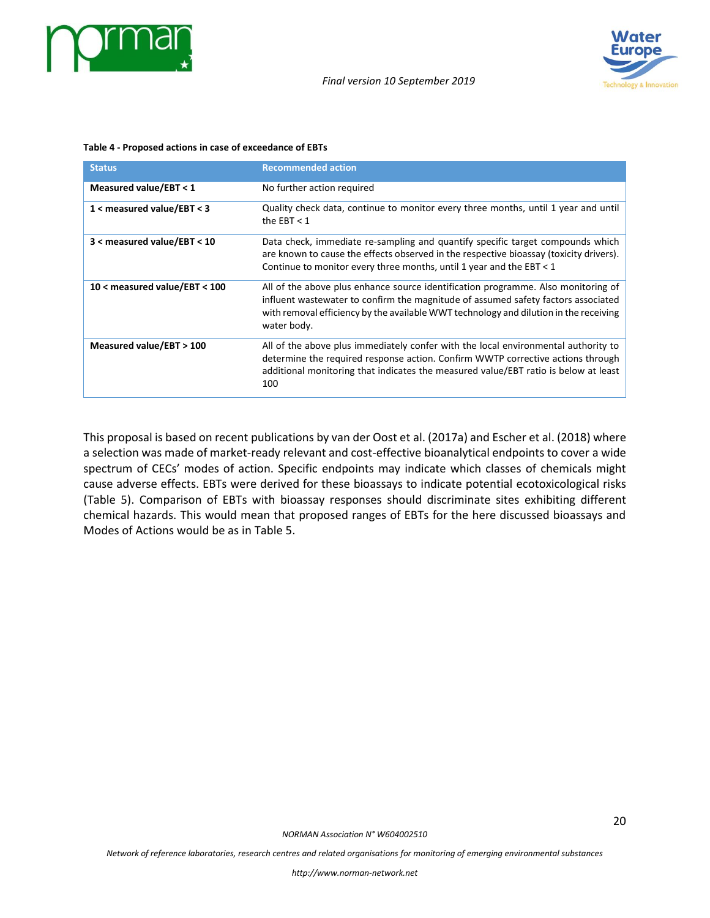



#### **Table 4 - Proposed actions in case of exceedance of EBTs**

| <b>Status</b>                 | <b>Recommended action</b>                                                                                                                                                                                                                                                      |
|-------------------------------|--------------------------------------------------------------------------------------------------------------------------------------------------------------------------------------------------------------------------------------------------------------------------------|
| Measured value/EBT < 1        | No further action required                                                                                                                                                                                                                                                     |
| 1 < measured value/EBT < 3    | Quality check data, continue to monitor every three months, until 1 year and until<br>the EBT $<$ 1                                                                                                                                                                            |
| 3 < measured value/EBT < 10   | Data check, immediate re-sampling and quantify specific target compounds which<br>are known to cause the effects observed in the respective bioassay (toxicity drivers).<br>Continue to monitor every three months, until 1 year and the EBT < 1                               |
| 10 < measured value/EBT < 100 | All of the above plus enhance source identification programme. Also monitoring of<br>influent wastewater to confirm the magnitude of assumed safety factors associated<br>with removal efficiency by the available WWT technology and dilution in the receiving<br>water body. |
| Measured value/EBT > 100      | All of the above plus immediately confer with the local environmental authority to<br>determine the required response action. Confirm WWTP corrective actions through<br>additional monitoring that indicates the measured value/EBT ratio is below at least<br>100            |

This proposal is based on recent publications by van der Oost et al. (2017a) and Escher et al. (2018) where a selection was made of market-ready relevant and cost-effective bioanalytical endpoints to cover a wide spectrum of CECs' modes of action. Specific endpoints may indicate which classes of chemicals might cause adverse effects. EBTs were derived for these bioassays to indicate potential ecotoxicological risks (Table 5). Comparison of EBTs with bioassay responses should discriminate sites exhibiting different chemical hazards. This would mean that proposed ranges of EBTs for the here discussed bioassays and Modes of Actions would be as in Table 5.